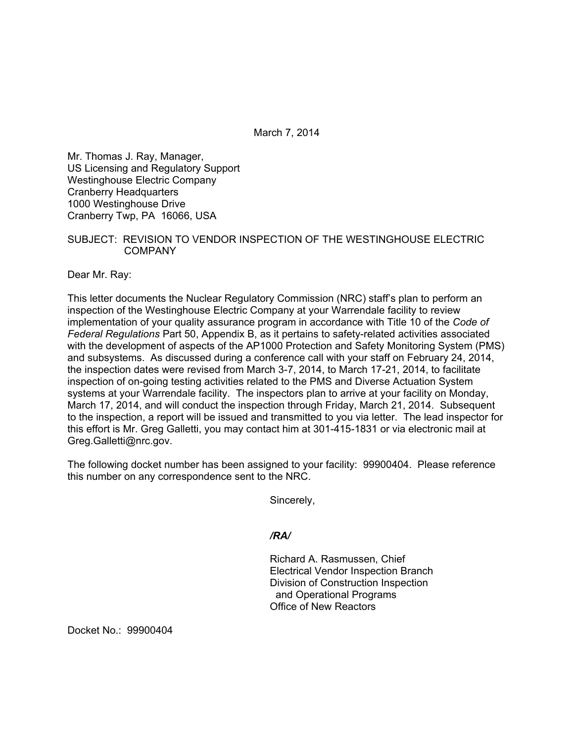March 7, 2014

Mr. Thomas J. Ray, Manager, US Licensing and Regulatory Support Westinghouse Electric Company Cranberry Headquarters 1000 Westinghouse Drive Cranberry Twp, PA 16066, USA

### SUBJECT: REVISION TO VENDOR INSPECTION OF THE WESTINGHOUSE ELECTRIC COMPANY

Dear Mr. Ray:

This letter documents the Nuclear Regulatory Commission (NRC) staff's plan to perform an inspection of the Westinghouse Electric Company at your Warrendale facility to review implementation of your quality assurance program in accordance with Title 10 of the *Code of Federal Regulations* Part 50, Appendix B, as it pertains to safety-related activities associated with the development of aspects of the AP1000 Protection and Safety Monitoring System (PMS) and subsystems. As discussed during a conference call with your staff on February 24, 2014, the inspection dates were revised from March 3-7, 2014, to March 17-21, 2014, to facilitate inspection of on-going testing activities related to the PMS and Diverse Actuation System systems at your Warrendale facility. The inspectors plan to arrive at your facility on Monday, March 17, 2014, and will conduct the inspection through Friday, March 21, 2014. Subsequent to the inspection, a report will be issued and transmitted to you via letter. The lead inspector for this effort is Mr. Greg Galletti, you may contact him at 301-415-1831 or via electronic mail at Greg.Galletti@nrc.gov.

The following docket number has been assigned to your facility: 99900404. Please reference this number on any correspondence sent to the NRC.

Sincerely,

### */RA/*

Richard A. Rasmussen, Chief Electrical Vendor Inspection Branch Division of Construction Inspection and Operational Programs Office of New Reactors

Docket No.: 99900404